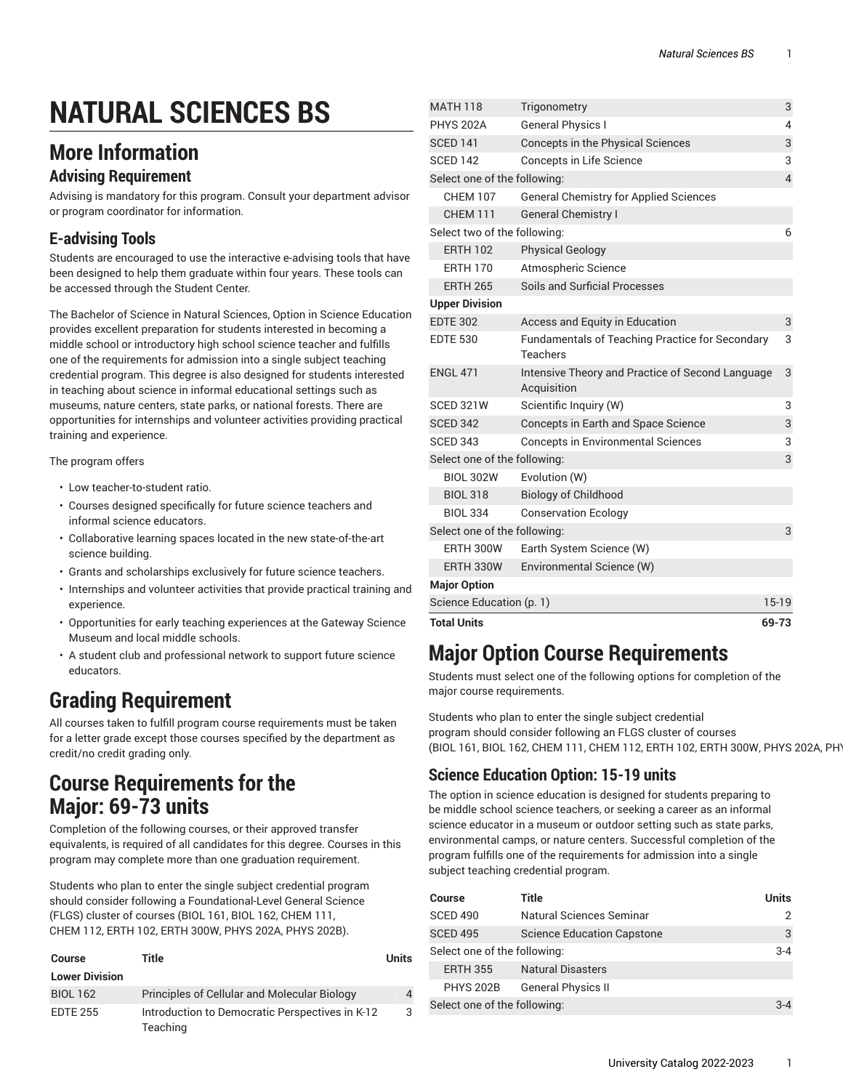# **NATURAL SCIENCES BS**

### **More Information**

#### **Advising Requirement**

Advising is mandatory for this program. Consult your department advisor or program coordinator for information.

### **E-advising Tools**

Students are encouraged to use the interactive e-advising tools that have been designed to help them graduate within four years. These tools can be accessed through the Student Center.

The Bachelor of Science in Natural Sciences, Option in Science Education provides excellent preparation for students interested in becoming a middle school or introductory high school science teacher and fulfills one of the requirements for admission into a single subject teaching credential program. This degree is also designed for students interested in teaching about science in informal educational settings such as museums, nature centers, state parks, or national forests. There are opportunities for internships and volunteer activities providing practical training and experience.

The program offers

- Low teacher-to-student ratio.
- Courses designed specifically for future science teachers and informal science educators.
- Collaborative learning spaces located in the new state-of-the-art science building.
- Grants and scholarships exclusively for future science teachers.
- Internships and volunteer activities that provide practical training and experience.
- Opportunities for early teaching experiences at the Gateway Science Museum and local middle schools.
- A student club and professional network to support future science educators.

## **Grading Requirement**

All courses taken to fulfill program course requirements must be taken for a letter grade except those courses specified by the department as credit/no credit grading only.

### **Course Requirements for the Major: 69-73 units**

Completion of the following courses, or their approved transfer equivalents, is required of all candidates for this degree. Courses in this program may complete more than one graduation requirement.

Students who plan to enter the single subject credential program should consider following a Foundational-Level General Science (FLGS) cluster of courses (BIOL 161, BIOL 162, CHEM 111, CHEM 112, ERTH 102, ERTH 300W, PHYS 202A, PHYS 202B).

| <b>Course</b>         | Title                                                       | <b>Units</b> |
|-----------------------|-------------------------------------------------------------|--------------|
| <b>Lower Division</b> |                                                             |              |
| <b>BIOL 162</b>       | Principles of Cellular and Molecular Biology                | 4            |
| <b>EDTE 255</b>       | Introduction to Democratic Perspectives in K-12<br>Teaching | 3            |

| <b>Total Units</b>           |                                                                    | 69-73          |
|------------------------------|--------------------------------------------------------------------|----------------|
| Science Education (p. 1)     |                                                                    | $15-19$        |
| <b>Major Option</b>          |                                                                    |                |
| ERTH 330W                    | Environmental Science (W)                                          |                |
| <b>ERTH 300W</b>             | Earth System Science (W)                                           |                |
| Select one of the following: |                                                                    | 3              |
| <b>BIOL 334</b>              | <b>Conservation Ecology</b>                                        |                |
| <b>BIOL 318</b>              | <b>Biology of Childhood</b>                                        |                |
| <b>BIOL 302W</b>             | Evolution (W)                                                      |                |
| Select one of the following: |                                                                    | 3              |
| <b>SCED 343</b>              | <b>Concepts in Environmental Sciences</b>                          | 3              |
| <b>SCED 342</b>              | Concepts in Earth and Space Science                                | 3              |
| SCED 321W                    | Scientific Inquiry (W)                                             | 3              |
| <b>ENGL 471</b>              | Intensive Theory and Practice of Second Language<br>Acquisition    | 3              |
| <b>EDTE 530</b>              | <b>Fundamentals of Teaching Practice for Secondary</b><br>Teachers | 3              |
| <b>EDTE 302</b>              | Access and Equity in Education                                     | 3              |
| <b>Upper Division</b>        |                                                                    |                |
| <b>ERTH 265</b>              | Soils and Surficial Processes                                      |                |
| <b>ERTH 170</b>              | Atmospheric Science                                                |                |
| <b>ERTH 102</b>              | <b>Physical Geology</b>                                            |                |
| Select two of the following: |                                                                    | 6              |
| <b>CHEM 111</b>              | <b>General Chemistry I</b>                                         |                |
| <b>CHEM 107</b>              | <b>General Chemistry for Applied Sciences</b>                      |                |
| Select one of the following: |                                                                    | $\overline{4}$ |
| <b>SCED 142</b>              | Concepts in Life Science                                           | 3              |
| <b>SCED 141</b>              | Concepts in the Physical Sciences                                  | 3              |
| <b>PHYS 202A</b>             | <b>General Physics I</b>                                           | 4              |
| <b>MATH 118</b>              | Trigonometry                                                       | 3              |

### **Major Option Course Requirements**

Students must select one of the following options for completion of the major course requirements.

Students who plan to enter the single subject credential program should consider following an FLGS cluster of courses (BIOL 161, BIOL 162, CHEM 111, CHEM 112, ERTH 102, ERTH 300W, PHYS 202A, PHY

#### <span id="page-0-0"></span>**Science Education Option: 15-19 units**

The option in science education is designed for students preparing to be middle school science teachers, or seeking a career as an informal science educator in a museum or outdoor setting such as state parks, environmental camps, or nature centers. Successful completion of the program fulfills one of the requirements for admission into a single subject teaching credential program.

| <b>Course</b>                | Title                             | Units   |
|------------------------------|-----------------------------------|---------|
| <b>SCED 490</b>              | Natural Sciences Seminar          | 2       |
| <b>SCED 495</b>              | <b>Science Education Capstone</b> | 3       |
| Select one of the following: |                                   | $3 - 4$ |
| <b>ERTH 355</b>              | <b>Natural Disasters</b>          |         |
| <b>PHYS 202B</b>             | <b>General Physics II</b>         |         |
| Select one of the following: |                                   | $3 - 4$ |